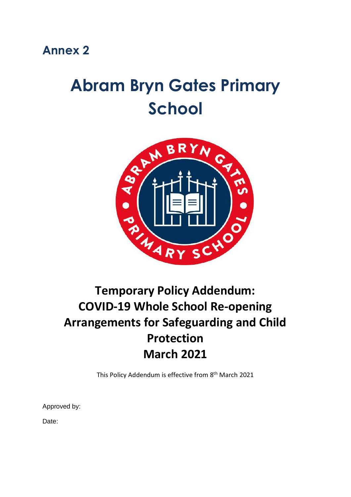# **Abram Bryn Gates Primary School**



# **Temporary Policy Addendum: COVID-19 Whole School Re-opening Arrangements for Safeguarding and Child Protection March 2021**

This Policy Addendum is effective from 8<sup>th</sup> March 2021

Approved by:

Date: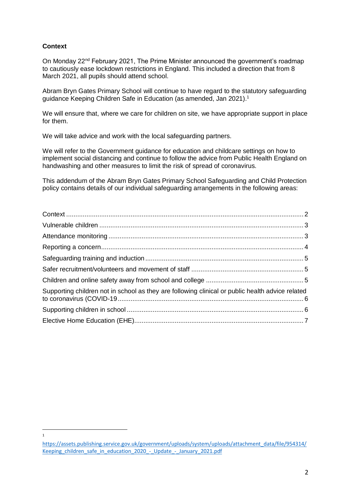# <span id="page-1-0"></span>**Context**

 $\overline{a}$ 1

On Monday 22nd February 2021, The Prime Minister announced the government's roadmap to cautiously ease lockdown restrictions in England. This included a direction that from 8 March 2021, all pupils should attend school.

Abram Bryn Gates Primary School will continue to have regard to the statutory safeguarding guidance Keeping Children Safe in Education (as amended, Jan 2021). 1

We will ensure that, where we care for children on site, we have appropriate support in place for them.

We will take advice and work with the local safeguarding partners.

We will refer to the Government guidance for education and childcare settings on how to implement social distancing and continue to follow the advice from Public Health England on handwashing and other measures to limit the risk of spread of coronavirus.

This addendum of the Abram Bryn Gates Primary School Safeguarding and Child Protection policy contains details of our individual safeguarding arrangements in the following areas:

| Supporting children not in school as they are following clinical or public health advice related |  |
|--------------------------------------------------------------------------------------------------|--|
|                                                                                                  |  |
|                                                                                                  |  |
|                                                                                                  |  |

[https://assets.publishing.service.gov.uk/government/uploads/system/uploads/attachment\\_data/file/954314/](https://assets.publishing.service.gov.uk/government/uploads/system/uploads/attachment_data/file/954314/Keeping_children_safe_in_education_2020_-_Update_-_January_2021.pdf) Keeping children\_safe\_in\_education\_2020\_-\_Update\_-\_January\_2021.pdf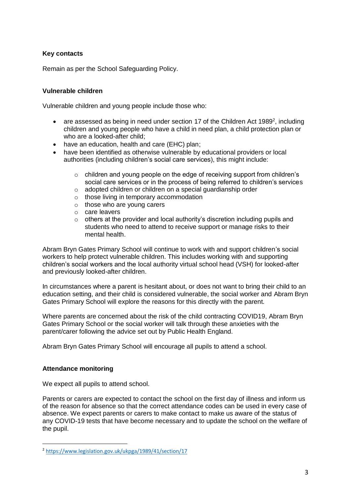# **Key contacts**

Remain as per the School Safeguarding Policy.

## <span id="page-2-0"></span>**Vulnerable children**

Vulnerable children and young people include those who:

- $\bullet$  are assessed as being in need under section 17 of the Children Act 1989<sup>2</sup>, including children and young people who have a child in need plan, a child protection plan or who are a looked-after child;
- have an education, health and care (EHC) plan;
- have been identified as otherwise vulnerable by educational providers or local authorities (including children's social care services), this might include:
	- $\circ$  children and young people on the edge of receiving support from children's social care services or in the process of being referred to children's services
	- o adopted children or children on a special guardianship order
	- o those living in temporary accommodation
	- o those who are young carers
	- o care leavers
	- $\circ$  others at the provider and local authority's discretion including pupils and students who need to attend to receive support or manage risks to their mental health.

Abram Bryn Gates Primary School will continue to work with and support children's social workers to help protect vulnerable children. This includes working with and supporting children's social workers and the local authority virtual school head (VSH) for looked-after and previously looked-after children.

In circumstances where a parent is hesitant about, or does not want to bring their child to an education setting, and their child is considered vulnerable, the social worker and Abram Bryn Gates Primary School will explore the reasons for this directly with the parent.

Where parents are concerned about the risk of the child contracting COVID19, Abram Bryn Gates Primary School or the social worker will talk through these anxieties with the parent/carer following the advice set out by Public Health England.

Abram Bryn Gates Primary School will encourage all pupils to attend a school.

#### <span id="page-2-1"></span>**Attendance monitoring**

 $\overline{a}$ 

We expect all pupils to attend school.

Parents or carers are expected to contact the school on the first day of illness and inform us of the reason for absence so that the correct attendance codes can be used in every case of absence. We expect parents or carers to make contact to make us aware of the status of any COVID-19 tests that have become necessary and to update the school on the welfare of the pupil.

<sup>2</sup> <https://www.legislation.gov.uk/ukpga/1989/41/section/17>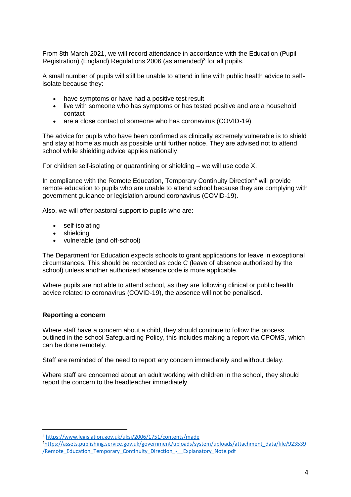From 8th March 2021, we will record attendance in accordance with the Education (Pupil Registration) (England) Regulations 2006 (as amended) $3$  for all pupils.

A small number of pupils will still be unable to attend in line with public health advice to selfisolate because they:

- have symptoms or have had a positive test result
- live with someone who has symptoms or has tested positive and are a household contact
- are a close contact of someone who has coronavirus (COVID-19)

The advice for pupils who have been confirmed as clinically extremely vulnerable is to shield and stay at home as much as possible until further notice. They are advised not to attend school while shielding advice applies nationally.

For children self-isolating or quarantining or shielding – we will use code X.

In compliance with the Remote Education, Temporary Continuity Direction<sup>4</sup> will provide remote education to pupils who are unable to attend school because they are complying with government guidance or legislation around coronavirus (COVID-19).

Also, we will offer pastoral support to pupils who are:

- self-isolating
- shielding
- vulnerable (and off-school)

The Department for Education expects schools to grant applications for leave in exceptional circumstances. This should be recorded as code C (leave of absence authorised by the school) unless another authorised absence code is more applicable.

Where pupils are not able to attend school, as they are following clinical or public health advice related to coronavirus (COVID-19), the absence will not be penalised.

#### <span id="page-3-0"></span>**Reporting a concern**

 $\overline{a}$ 

Where staff have a concern about a child, they should continue to follow the process outlined in the school Safeguarding Policy, this includes making a report via CPOMS, which can be done remotely.

Staff are reminded of the need to report any concern immediately and without delay.

Where staff are concerned about an adult working with children in the school, they should report the concern to the headteacher immediately.

<sup>3</sup> <https://www.legislation.gov.uk/uksi/2006/1751/contents/made>

<sup>4</sup>[https://assets.publishing.service.gov.uk/government/uploads/system/uploads/attachment\\_data/file/923539](https://assets.publishing.service.gov.uk/government/uploads/system/uploads/attachment_data/file/923539/Remote_Education_Temporary_Continuity_Direction_-__Explanatory_Note.pdf) [/Remote\\_Education\\_Temporary\\_Continuity\\_Direction\\_-\\_\\_Explanatory\\_Note.pdf](https://assets.publishing.service.gov.uk/government/uploads/system/uploads/attachment_data/file/923539/Remote_Education_Temporary_Continuity_Direction_-__Explanatory_Note.pdf)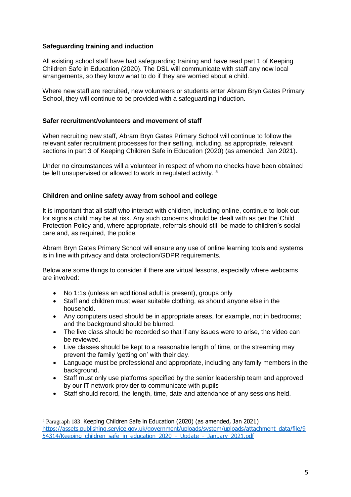#### <span id="page-4-0"></span>**Safeguarding training and induction**

All existing school staff have had safeguarding training and have read part 1 of Keeping Children Safe in Education (2020). The DSL will communicate with staff any new local arrangements, so they know what to do if they are worried about a child.

Where new staff are recruited, new volunteers or students enter Abram Bryn Gates Primary School, they will continue to be provided with a safeguarding induction.

#### <span id="page-4-1"></span>**Safer recruitment/volunteers and movement of staff**

When recruiting new staff, Abram Bryn Gates Primary School will continue to follow the relevant safer recruitment processes for their setting, including, as appropriate, relevant sections in part 3 of Keeping Children Safe in Education (2020) (as amended, Jan 2021).

Under no circumstances will a volunteer in respect of whom no checks have been obtained be left unsupervised or allowed to work in regulated activity.<sup>5</sup>

## <span id="page-4-2"></span>**Children and online safety away from school and college**

It is important that all staff who interact with children, including online, continue to look out for signs a child may be at risk. Any such concerns should be dealt with as per the Child Protection Policy and, where appropriate, referrals should still be made to children's social care and, as required, the police.

Abram Bryn Gates Primary School will ensure any use of online learning tools and systems is in line with privacy and data protection/GDPR requirements.

Below are some things to consider if there are virtual lessons, especially where webcams are involved:

No 1:1s (unless an additional adult is present), groups only

 $\overline{a}$ 

- Staff and children must wear suitable clothing, as should anyone else in the household.
- Any computers used should be in appropriate areas, for example, not in bedrooms; and the background should be blurred.
- The live class should be recorded so that if any issues were to arise, the video can be reviewed.
- Live classes should be kept to a reasonable length of time, or the streaming may prevent the family 'getting on' with their day.
- Language must be professional and appropriate, including any family members in the background.
- Staff must only use platforms specified by the senior leadership team and approved by our IT network provider to communicate with pupils
- Staff should record, the length, time, date and attendance of any sessions held.

<sup>5</sup> Paragraph 183. Keeping Children Safe in Education (2020) (as amended, Jan 2021) [https://assets.publishing.service.gov.uk/government/uploads/system/uploads/attachment\\_data/file/9](https://assets.publishing.service.gov.uk/government/uploads/system/uploads/attachment_data/file/954314/Keeping_children_safe_in_education_2020_-_Update_-_January_2021.pdf) 54314/Keeping children safe in education 2020 - Update - January 2021.pdf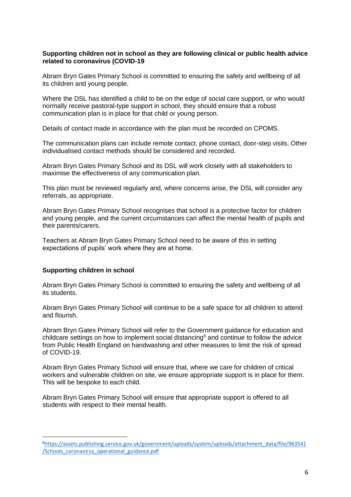#### <span id="page-5-0"></span>**Supporting children not in school as they are following clinical or public health advice related to coronavirus (COVID-19**

Abram Bryn Gates Primary School is committed to ensuring the safety and wellbeing of all its children and young people.

Where the DSL has identified a child to be on the edge of social care support, or who would normally receive pastoral-type support in school, they should ensure that a robust communication plan is in place for that child or young person.

Details of contact made in accordance with the plan must be recorded on CPOMS.

The communication plans can include remote contact, phone contact, door-step visits. Other individualised contact methods should be considered and recorded.

Abram Bryn Gates Primary School and its DSL will work closely with all stakeholders to maximise the effectiveness of any communication plan.

This plan must be reviewed regularly and, where concerns arise, the DSL will consider any referrals, as appropriate.

Abram Bryn Gates Primary School recognises that school is a protective factor for children and young people, and the current circumstances can affect the mental health of pupils and their parents/carers.

Teachers at Abram Bryn Gates Primary School need to be aware of this in setting expectations of pupils' work where they are at home.

#### <span id="page-5-1"></span>**Supporting children in school**

 $\overline{a}$ 

Abram Bryn Gates Primary School is committed to ensuring the safety and wellbeing of all its students.

Abram Bryn Gates Primary School will continue to be a safe space for all children to attend and flourish.

Abram Bryn Gates Primary School will refer to the Government guidance for education and childcare settings on how to implement social distancing<sup>6</sup> and continue to follow the advice from Public Health England on handwashing and other measures to limit the risk of spread of COVID-19.

Abram Bryn Gates Primary School will ensure that, where we care for children of critical workers and vulnerable children on site, we ensure appropriate support is in place for them. This will be bespoke to each child.

Abram Bryn Gates Primary School will ensure that appropriate support is offered to all students with respect to their mental health.

<sup>6</sup>[https://assets.publishing.service.gov.uk/government/uploads/system/uploads/attachment\\_data/file/963541](https://assets.publishing.service.gov.uk/government/uploads/system/uploads/attachment_data/file/963541/Schools_coronavirus_operational_guidance.pdf) [/Schools\\_coronavirus\\_operational\\_guidance.pdf](https://assets.publishing.service.gov.uk/government/uploads/system/uploads/attachment_data/file/963541/Schools_coronavirus_operational_guidance.pdf)